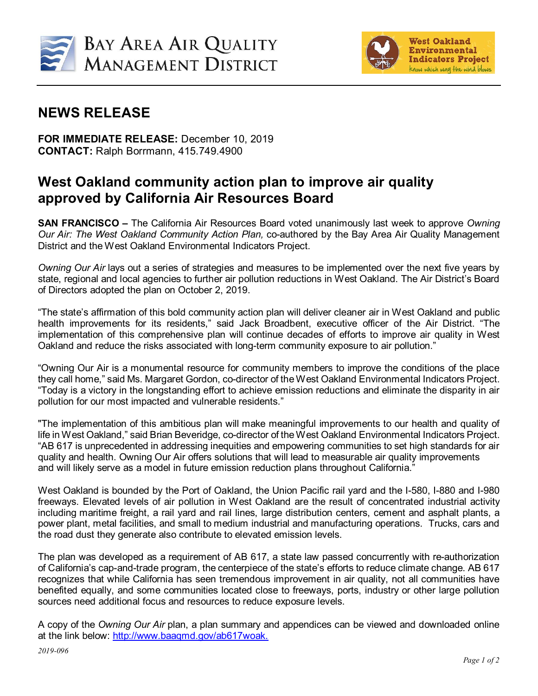



## **NEWS RELEASE**

**FOR IMMEDIATE RELEASE:** December 10, 2019 **CONTACT:** Ralph Borrmann, 415.749.4900

## **West Oakland community action plan to improve air quality approved by California Air Resources Board**

**SAN FRANCISCO –** The California Air Resources Board voted unanimously last week to approve *Owning Our Air: The West Oakland Community Action Plan,* co-authored by the Bay Area Air Quality Management District and the West Oakland Environmental Indicators Project.

*Owning Our Air* lays out a series of strategies and measures to be implemented over the next five years by state, regional and local agencies to further air pollution reductions in West Oakland. The Air District's Board of Directors adopted the plan on October 2, 2019.

"The state's affirmation of this bold community action plan will deliver cleaner air in West Oakland and public health improvements for its residents," said Jack Broadbent, executive officer of the Air District. "The implementation of this comprehensive plan will continue decades of efforts to improve air quality in West Oakland and reduce the risks associated with long-term community exposure to air pollution."

"Owning Our Air is a monumental resource for community members to improve the conditions of the place they call home," said Ms. Margaret Gordon, co-director of the West Oakland Environmental Indicators Project. "Today is a victory in the longstanding effort to achieve emission reductions and eliminate the disparity in air pollution for our most impacted and vulnerable residents."

"The implementation of this ambitious plan will make meaningful improvements to our health and quality of life in West Oakland," said Brian Beveridge, co-director of the West Oakland Environmental Indicators Project. "AB 617 is unprecedented in addressing inequities and empowering communities to set high standards for air quality and health. Owning Our Air offers solutions that will lead to measurable air quality improvements and will likely serve as a model in future emission reduction plans throughout California."

West Oakland is bounded by the Port of Oakland, the Union Pacific rail yard and the I-580, I-880 and I-980 freeways. Elevated levels of air pollution in West Oakland are the result of concentrated industrial activity including maritime freight, a rail yard and rail lines, large distribution centers, cement and asphalt plants, a power plant, metal facilities, and small to medium industrial and manufacturing operations. Trucks, cars and the road dust they generate also contribute to elevated emission levels.

The plan was developed as a requirement of AB 617, a state law passed concurrently with re-authorization of California's cap-and-trade program, the centerpiece of the state's efforts to reduce climate change. AB 617 recognizes that while California has seen tremendous improvement in air quality, not all communities have benefited equally, and some communities located close to freeways, ports, industry or other large pollution sources need additional focus and resources to reduce exposure levels.

A copy of the *Owning Our Air* plan, a plan summary and appendices can be viewed and downloaded online at the link below: [http://www.baaqmd.gov/ab617woak.](http://www.baaqmd.gov/ab617woak)